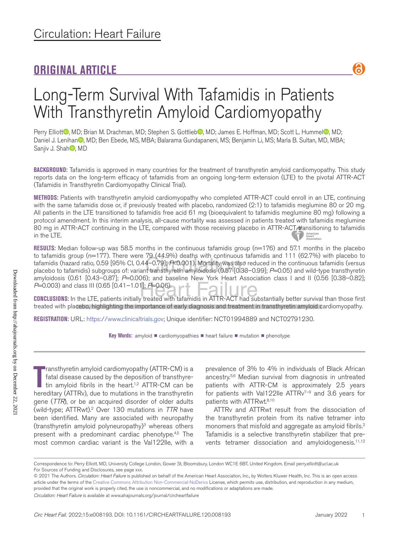## **ORIGINAL ARTICLE**

႕

## Long-Term Survival With Tafamidis in Patients With Transthyretin Amyloid Cardiomyopathy

Perry Elliott<sup>o</sup>, MD; Brian M. Drachman, MD; Stephen S. Gottlieb<sup>o</sup>, MD; James E. Hoffman, MD; Scott L. Hummel<sup>o</sup>, MD; Daniel J. Lenihan<sup>®</sup>, MD; Ben Ebede, MS, MBA; Balarama Gundapaneni, MS; Benjamin Li, MS; Marla B. Sultan, MD, MBA; Sanjiv J. Shah<sup>,</sup>, MD

**BACKGROUND:** Tafamidis is approved in many countries for the treatment of transthyretin amyloid cardiomyopathy. This study reports data on the long-term efficacy of tafamidis from an ongoing long-term extension (LTE) to the pivotal ATTR-ACT (Tafamidis in Transthyretin Cardiomyopathy Clinical Trial).

**METHODS:** Patients with transthyretin amyloid cardiomyopathy who completed ATTR-ACT could enroll in an LTE, continuing with the same tafamidis dose or, if previously treated with placebo, randomized (2:1) to tafamidis meglumine 80 or 20 mg. All patients in the LTE transitioned to tafamidis free acid 61 mg (bioequivalent to tafamidis meglumine 80 mg) following a protocol amendment. In this interim analysis, all-cause mortality was assessed in patients treated with tafamidis meglumine 80 mg in ATTR-ACT continuing in the LTE, compared with those receiving placebo in ATTR-ACT transitioning to tafamidis in the LTE.

**RESULTS:** Median follow-up was 58.5 months in the continuous tafamidis group (n=176) and 57.1 months in the placebo to tafamidis group (n=177). There were 79 (44.9%) deaths with continuous tafamidis and 111 (62.7%) with placebo to tafamidis (hazard ratio, 0.59 [95% CI, 0.44–0.79]; *P*<0.001). Mortality was also reduced in the continuous tafamidis (versus placebo to tafamidis) subgroups of: variant transthyretin amyloidosis (0.57 [0.33–0.99]; *P*=0.05) and wild-type transthyretin amyloidosis (0.61 [0.43–0.87]; *P*=0.006); and baseline New York Heart Association class I and II (0.56 [0.38–0.82]; *P*=0.003) and class III (0.65 [0.41–1.01]; *P*=0.06).

**CONCLUSIONS:** In the LTE, patients initially treated with tafamidis in ATTR-ACT had substantially better survival than those first treated with placebo, highlighting the importance of early diagnosis and treatment in transthyretin amyloid cardiomyopathy.

**REGISTRATION:** URL: https://www.clinicaltrials.gov; Unique identifier: NCT01994889 and NCT02791230.

**Key Words:** amyloid ■ cardiomyopathies ■ heart failure ■ mutation ■ phenotype

**The Transthyretin amyloid cardiomyopathy (ATTR-CM) is a fatal disease caused by the deposition of transthyretin amyloid fibrils in the heart.<sup>1,2</sup> ATTR-CM can be hereditary (ATTRv), due to mutations in the transthyretin** ransthyretin amyloid cardiomyopathy (ATTR-CM) is a fatal disease caused by the deposition of transthyretin amyloid fibrils in the heart.<sup>1,2</sup> ATTR-CM can be gene (*TTR*), or be an acquired disorder of older adults (wild-type; ATTRwt).2 Over 130 mutations in *TTR* have been identified. Many are associated with neuropathy (transthyretin amyloid polyneuropathy)3 whereas others present with a predominant cardiac phenotype.<sup>4,5</sup> The most common cardiac variant is the Val122Ile, with a

prevalence of 3% to 4% in individuals of Black African ancestry.5,6 Median survival from diagnosis in untreated patients with ATTR-CM is approximately 2.5 years for patients with Val122Ile ATTRv<sup>7-9</sup> and 3.6 years for patients with ATTRwt.<sup>8,10</sup>

ATTRv and ATTRwt result from the dissociation of the transthyretin protein from its native tetramer into monomers that misfold and aggregate as amyloid fibrils.<sup>2</sup> Tafamidis is a selective transthyretin stabilizer that prevents tetramer dissociation and amyloidogenesis.<sup>11,12</sup>

Correspondence to: Perry Elliott, MD, University College London, Gower St, Bloomsbury, London WC1E 6BT, United Kingdom. Email [perry.elliott@ucl.ac.uk](mailto:perry.elliott@ucl.ac.uk) For Sources of Funding and Disclosures, see page xxx.

<sup>© 2021</sup> The Authors. *Circulation: Heart Failure* is published on behalf of the American Heart Association, Inc., by Wolters Kluwer Health, Inc. This is an open access article under the terms of the Creative Commons Attribution Non-Commercial-NoDerivs License, which permits use, distribution, and reproduction in any medium, provided that the original work is properly cited, the use is noncommercial, and no modifications or adaptations are made.

*Circulation: Heart Failure* is available at www.ahajournals.org/journal/circheartfailure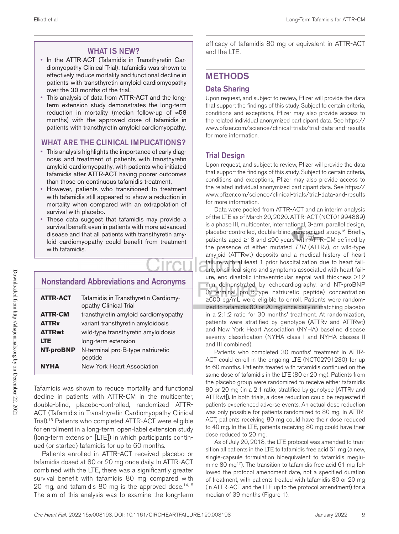## WHAT IS NEW?

- In the ATTR-ACT (Tafamidis in Transthyretin Cardiomyopathy Clinical Trial), tafamidis was shown to effectively reduce mortality and functional decline in patients with transthyretin amyloid cardiomyopathy over the 30 months of the trial.
- This analysis of data from ATTR-ACT and the longterm extension study demonstrates the long-term reduction in mortality (median follow-up of ≈58 months) with the approved dose of tafamidis in patients with transthyretin amyloid cardiomyopathy.

## WHAT ARE THE CLINICAL IMPLICATIONS?

- This analysis highlights the importance of early diagnosis and treatment of patients with transthyretin amyloid cardiomyopathy, with patients who initiated tafamidis after ATTR-ACT having poorer outcomes than those on continuous tafamidis treatment.
- However, patients who transitioned to treatment with tafamidis still appeared to show a reduction in mortality when compared with an extrapolation of survival with placebo.
- These data suggest that tafamidis may provide a survival benefit even in patients with more advanced disease and that all patients with transthyretin amyloid cardiomyopathy could benefit from treatment with tafamidis.

## Nonstandard Abbreviations and Acronyms

| <b>ATTR-ACT</b>  | Tafamidis in Transthyretin Cardiomy-<br>opathy Clinical Trial |
|------------------|---------------------------------------------------------------|
| <b>ATTR-CM</b>   | transthyretin amyloid cardiomyopathy                          |
| <b>ATTRy</b>     | variant transthyretin amyloidosis                             |
| <b>ATTRwt</b>    | wild-type transthyretin amyloidosis                           |
| <b>LTE</b>       | long-term extension                                           |
| <b>NT-proBNP</b> | N-terminal pro-B-type natriuretic<br>peptide                  |
| <b>NYHA</b>      | New York Heart Association                                    |

Tafamidis was shown to reduce mortality and functional decline in patients with ATTR-CM in the multicenter, double-blind, placebo-controlled, randomized ATTR-ACT (Tafamidis in Transthyretin Cardiomyopathy Clinical Trial).13 Patients who completed ATTR-ACT were eligible for enrollment in a long-term, open-label extension study (long-term extension [LTE]) in which participants continued (or started) tafamidis for up to 60 months.

Patients enrolled in ATTR-ACT received placebo or tafamidis dosed at 80 or 20 mg once daily. In ATTR-ACT combined with the LTE, there was a significantly greater survival benefit with tafamidis 80 mg compared with 20 mg, and tafamidis 80 mg is the approved dose.<sup>14,15</sup> The aim of this analysis was to examine the long-term

efficacy of tafamidis 80 mg or equivalent in ATTR-ACT and the LTE.

## METHODS

## Data Sharing

Upon request, and subject to review, Pfizer will provide the data that support the findings of this study. Subject to certain criteria, conditions and exceptions, Pfizer may also provide access to the related individual anonymized participant data. See https:// www.pfizer.com/science/clinical-trials/trial-data-and-results for more information.

## Trial Design

Upon request, and subject to review, Pfizer will provide the data that support the findings of this study. Subject to certain criteria, conditions and exceptions, Pfizer may also provide access to the related individual anonymized participant data. See https:// www.pfizer.com/science/clinical-trials/trial-data-and-results for more information.

Data were pooled from ATTR-ACT and an interim analysis of the LTE as of March 20, 2020. ATTR-ACT (NCT01994889) is a phase III, multicenter, international, 3-arm, parallel design, placebo-controlled, double-blind, randomized study.<sup>16</sup> Briefly, patients aged ≥18 and ≤90 years with ATTR-CM defined by the presence of either mutated *TTR* (ATTRv), or wild-type amyloid (ATTRwt) deposits and a medical history of heart failure with at least 1 prior hospitalization due to heart failure, or clinical signs and symptoms associated with heart failure, end-diastolic intraventricular septal wall thickness >12 mm demonstrated by echocardiography, and NT-proBNP (N-terminal pro-B-type natriuretic peptide) concentration ≥600 pg/mL were eligible to enroll. Patients were randomized to tafamidis 80 or 20 mg once daily or matching placebo in a 2:1:2 ratio for 30 months' treatment. At randomization, patients were stratified by genotype (ATTRv and ATTRwt) and New York Heart Association (NYHA) baseline disease severity classification (NYHA class I and NYHA classes II and III combined).

Patients who completed 30 months' treatment in ATTR-ACT could enroll in the ongoing LTE (NCT02791230) for up to 60 months. Patients treated with tafamidis continued on the same dose of tafamidis in the LTE (80 or 20 mg). Patients from the placebo group were randomized to receive either tafamidis 80 or 20 mg (in a 2:1 ratio; stratified by genotype [ATTRv and ATTRwt]). In both trials, a dose reduction could be requested if patients experienced adverse events. An actual dose reduction was only possible for patients randomized to 80 mg. In ATTR-ACT, patients receiving 80 mg could have their dose reduced to 40 mg. In the LTE, patients receiving 80 mg could have their dose reduced to 20 mg.

As of July 20, 2018, the LTE protocol was amended to transition all patients in the LTE to tafamidis free acid 61 mg (a new, single-capsule formulation bioequivalent to tafamidis meglumine 80 mg<sup>17</sup>). The transition to tafamidis free acid 61 mg followed the protocol amendment date, not a specified duration of treatment, with patients treated with tafamidis 80 or 20 mg (in ATTR-ACT and the LTE up to the protocol amendment) for a median of 39 months (Figure 1).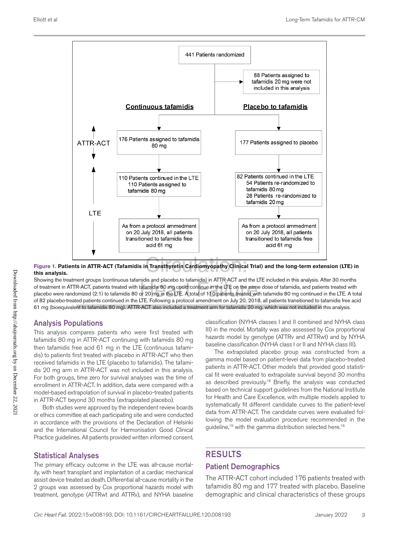

#### **Figure 1. Patients in ATTR-ACT (Tafamidis in Transthyretin Cardiomyopathy Clinical Trial) and the long-term extension (LTE) in this analysis.**

Showing the treatment groups (continuous tafamidis and placebo to tafamidis) in ATTR-ACT and the LTE included in this analysis. After 30 months of treatment in ATTR-ACT, patients treated with tafamidis 80 mg could continue in the LTE on the same dose of tafamidis, and patients treated with placebo were randomized (2:1) to tafamidis 80 or 20 mg in the LTE. A total of 110 patients treated with tafamidis 80 mg continued in the LTE. A total of 82 placebo-treated patients continued in the LTE. Following a protocol amendment on July 20, 2018, all patients transitioned to tafamidis free acid 61 mg (bioequivalent to tafamidis 80 mg). ATTR-ACT also included a treatment arm for tafamidis 20 mg, which was not included in this analysis.

## Analysis Populations

This analysis compares patients who were first treated with tafamidis 80 mg in ATTR-ACT continuing with tafamidis 80 mg then tafamidis free acid 61 mg in the LTE (continuous tafamidis) to patients first treated with placebo in ATTR-ACT who then received tafamidis in the LTE (placebo to tafamidis). The tafamidis 20 mg arm in ATTR-ACT was not included in this analysis. For both groups, time zero for survival analyses was the time of enrollment in ATTR-ACT. In addition, data were compared with a model-based extrapolation of survival in placebo-treated patients in ATTR-ACT beyond 30 months (extrapolated placebo).

Both studies were approved by the independent review boards or ethics committee at each participating site and were conducted in accordance with the provisions of the Declaration of Helsinki and the International Council for Harmonisation Good Clinical Practice guidelines. All patients provided written informed consent.

## Statistical Analyses

The primary efficacy outcome in the LTE was all-cause mortality, with heart transplant and implantation of a cardiac mechanical assist device treated as death. Differential all-cause mortality in the 2 groups was assessed by Cox proportional hazards model with treatment, genotype (ATTRwt and ATTRv), and NYHA baseline classification (NYHA classes I and II combined and NYHA class III) in the model. Mortality was also assessed by Cox proportional hazards model by genotype (ATTRv and ATTRwt) and by NYHA baseline classification (NYHA class I or II and NYHA class III).

The extrapolated placebo group was constructed from a gamma model based on patient-level data from placebo-treated patients in ATTR-ACT. Other models that provided good statistical fit were evaluated to extrapolate survival beyond 30 months as described previously.<sup>18</sup> Briefly, the analysis was conducted based on technical support guidelines from the National Institute for Health and Care Excellence, with multiple models applied to systematically fit different candidate curves to the patient-level data from ATTR-ACT. The candidate curves were evaluated following the model evaluation procedure recommended in the guideline,<sup>19</sup> with the gamma distribution selected here.<sup>18</sup>

## RESULTS

## Patient Demographics

The ATTR-ACT cohort included 176 patients treated with tafamidis 80 mg and 177 treated with placebo. Baseline demographic and clinical characteristics of these groups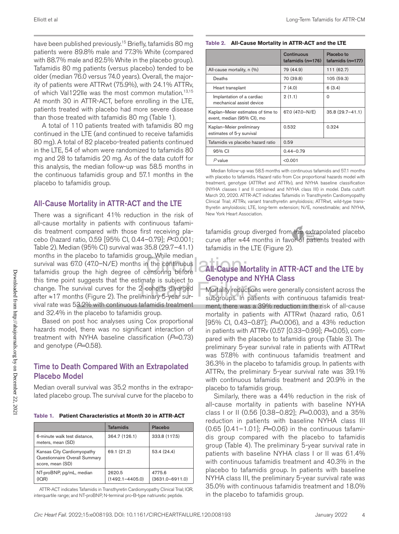have been published previously.<sup>15</sup> Briefly, tafamidis 80 mg patients were 89.8% male and 77.3% White (compared with 88.7% male and 82.5% White in the placebo group). Tafamidis 80 mg patients (versus placebo) tended to be older (median 76.0 versus 74.0 years). Overall, the majority of patients were ATTRwt (75.9%), with 24.1% ATTRv, of which Val122lle was the most common mutation.<sup>13,15</sup> At month 30 in ATTR-ACT, before enrolling in the LTE, patients treated with placebo had more severe disease than those treated with tafamidis 80 mg (Table 1).

A total of 110 patients treated with tafamidis 80 mg continued in the LTE (and continued to receive tafamidis 80 mg). A total of 82 placebo-treated patients continued in the LTE, 54 of whom were randomized to tafamidis 80 mg and 28 to tafamidis 20 mg. As of the data cutoff for this analysis, the median follow-up was 58.5 months in the continuous tafamidis group and 57.1 months in the placebo to tafamidis group.

## All-Cause Mortality in ATTR-ACT and the LTE

There was a significant 41% reduction in the risk of all-cause mortality in patients with continuous tafamidis treatment compared with those first receiving placebo (hazard ratio, 0.59 [95% CI, 0.44–0.79]; *P*<0.001; Table 2). Median (95% CI) survival was 35.8 (29.7–41.1) months in the placebo to tafamidis group. While median survival was 67.0 (47.0–N/E) months in the continuous tafamidis group the high degree of censoring before this time point suggests that the estimate is subject to change. The survival curves for the 2 cohorts diverged after ≈17 months (Figure 2). The preliminary 5-year survival rate was 53.2% with continuous tafamidis treatment and 32.4% in the placebo to tafamidis group.

Based on post hoc analyses using Cox proportional hazards model, there was no significant interaction of treatment with NYHA baseline classification (*P*=0.73) and genotype  $(P=0.58)$ .

## Time to Death Compared With an Extrapolated Placebo Model

Median overall survival was 35.2 months in the extrapolated placebo group. The survival curve for the placebo to

**Table 1. Patient Characteristics at Month 30 in ATTR-ACT**

|                                                                                 | <b>Tafamidis</b>              | Placebo                       |
|---------------------------------------------------------------------------------|-------------------------------|-------------------------------|
| 6-minute walk test distance,<br>meters, mean (SD)                               | 364.7 (126.1)                 | 333.8 (117.5)                 |
| Kansas City Cardiomyopathy<br>Questionnaire Overall Summary<br>score, mean (SD) | 69.1 (21.2)                   | 53.4(24.4)                    |
| NT-proBNP, pg/mL, median<br>(IOR)                                               | 2620.5<br>$(1492.1 - 4405.0)$ | 4775.6<br>$(3631.0 - 6911.0)$ |

ATTR-ACT indicates Tafamidis in Transthyretin Cardiomyopathy Clinical Trial; IQR, interquartile range; and NT-proBNP, N-terminal pro-B-type natriuretic peptide.

|                                                                 | Continuous<br>tafamidis $(n=176)$ | Placebo to<br>tafamidis (n=177) |
|-----------------------------------------------------------------|-----------------------------------|---------------------------------|
| All-cause mortality, n (%)                                      | 79 (44.9)                         | 111 (62.7)                      |
| Deaths                                                          | 70 (39.8)                         | 105 (59.3)                      |
| Heart transplant                                                | 7(4.0)                            | 6(3.4)                          |
| Implantation of a cardiac<br>mechanical assist device           | 2(1.1)                            | $\Omega$                        |
| Kaplan-Meier estimates of time to<br>event, median (95% CI), mo | 67.0 (47.0-N/E)                   | 35.8 (29.7-41.1)                |
| Kaplan-Meier preliminary<br>estimates of 5-y survival           | 0.532                             | 0.324                           |
| Tafamidis vs placebo hazard ratio                               | 0.59                              |                                 |
| 95% CI                                                          | $0.44 - 0.79$                     |                                 |
| $P$ value                                                       | < 0.001                           |                                 |

**Table 2. All-Cause Mortality in ATTR-ACT and the LTE**

Median follow-up was 58.5 months with continuous tafamidis and 57.1 months with placebo to tafamidis. Hazard ratio from Cox proportional hazards model with treatment, genotype (ATTRwt and ATTRv), and NYHA baseline classification (NYHA classes I and II combined and NYHA class III) in model. Data cutoff: March 20, 2020. ATTR-ACT indicates Tafamidis in Transthyretin Cardiomyopathy Clinical Trial; ATTRv, variant transthyretin amyloidosis; ATTRwt, wild-type transthyretin amyloidosis; LTE, long-term extension; N/E, nonestimable; and NYHA, New York Heart Association.

tafamidis group diverged from the extrapolated placebo curve after ≈44 months in favor of patients treated with tafamidis in the LTE (Figure 2).

## All-Cause Mortality in ATTR-ACT and the LTE by Genotype and NYHA Class

Mortality reductions were generally consistent across the subgroups. In patients with continuous tafamidis treatment, there was a 39% reduction in the risk of all-cause mortality in patients with ATTRwt (hazard ratio, 0.61 [95% CI, 0.43–0.87]; *P*=0.006), and a 43% reduction in patients with ATTRv (0.57 [0.33–0.99]; *P*=0.05), compared with the placebo to tafamidis group (Table 3). The preliminary 5-year survival rate in patients with ATTRwt was 57.8% with continuous tafamidis treatment and 36.3% in the placebo to tafamidis group. In patients with ATTRv, the preliminary 5-year survival rate was 39.1% with continuous tafamidis treatment and 20.9% in the placebo to tafamidis group.

Similarly, there was a 44% reduction in the risk of all-cause mortality in patients with baseline NYHA class I or II (0.56 [0.38–0.82]; *P*=0.003), and a 35% reduction in patients with baseline NYHA class III  $(0.65 \, [0.41 - 1.01]; P = 0.06)$  in the continuous tafamidis group compared with the placebo to tafamidis group (Table 4). The preliminary 5-year survival rate in patients with baseline NYHA class I or II was 61.4% with continuous tafamidis treatment and 40.3% in the placebo to tafamidis group. In patients with baseline NYHA class III, the preliminary 5-year survival rate was 35.0% with continuous tafamidis treatment and 18.0% in the placebo to tafamidis group.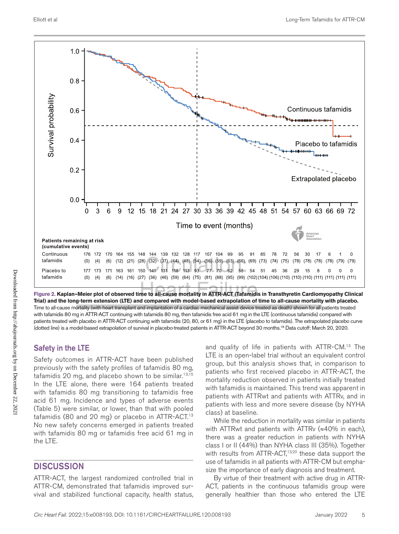

**Figure 2. Kaplan–Meier plot of observed time to all-cause mortality in ATTR-ACT (Tafamidis in Transthyretin Cardiomyopathy Clinical Trial) and the long-term extension (LTE) and compared with model-based extrapolation of time to all-cause mortality with placebo.**  Time to all-cause mortality (with heart transplant and implantation of a cardiac mechanical assist device treated as death) shown for all patients treated with tafamidis 80 mg in ATTR-ACT continuing with tafamidis 80 mg, then tafamidis free acid 61 mg in the LTE (continuous tafamidis) compared with patients treated with placebo in ATTR-ACT continuing with tafamidis (20, 80, or 61 mg) in the LTE (placebo to tafamidis). The extrapolated placebo curve (dotted line) is a model-based extrapolation of survival in placebo-treated patients in ATTR-ACT beyond 30 months.18 Data cutoff: March 20, 2020.

## Safety in the LTE

Safety outcomes in ATTR-ACT have been published previously with the safety profiles of tafamidis 80 mg, tafamidis 20 mg, and placebo shown to be similar.<sup>13,15</sup> In the LTE alone, there were 164 patients treated with tafamidis 80 mg transitioning to tafamidis free acid 61 mg. Incidence and types of adverse events (Table 5) were similar, or lower, than that with pooled tafamidis (80 and 20 mg) or placebo in ATTR-ACT.<sup>13</sup> No new safety concerns emerged in patients treated with tafamidis 80 mg or tafamidis free acid 61 mg in the LTE.

## **DISCUSSION**

ATTR-ACT, the largest randomized controlled trial in ATTR-CM, demonstrated that tafamidis improved survival and stabilized functional capacity, health status,

and quality of life in patients with ATTR-CM.13 The LTE is an open-label trial without an equivalent control group, but this analysis shows that, in comparison to patients who first received placebo in ATTR-ACT, the mortality reduction observed in patients initially treated with tafamidis is maintained. This trend was apparent in patients with ATTRwt and patients with ATTRv, and in patients with less and more severe disease (by NYHA class) at baseline.

While the reduction in mortality was similar in patients with ATTRwt and patients with ATTRv (≈40% in each), there was a greater reduction in patients with NYHA class I or II (44%) than NYHA class III (35%). Together with results from ATTR-ACT,<sup>13,20</sup> these data support the use of tafamidis in all patients with ATTR-CM but emphasize the importance of early diagnosis and treatment.

By virtue of their treatment with active drug in ATTR-ACT, patients in the continuous tafamidis group were generally healthier than those who entered the LTE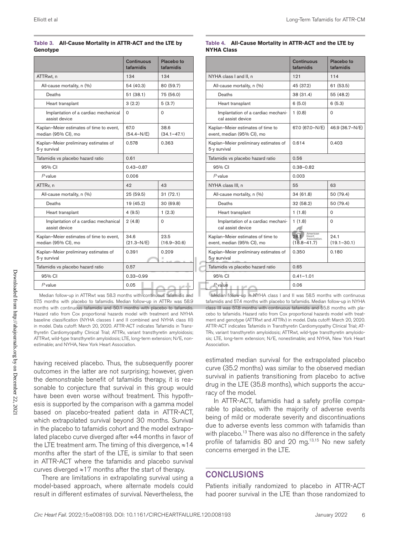#### **Table 3. All-Cause Mortality in ATTR-ACT and the LTE by Genotype**

|                                                                 | <b>Continuous</b><br>tafamidis | Placebo to<br>tafamidis |
|-----------------------------------------------------------------|--------------------------------|-------------------------|
| ATTRwt, n                                                       | 134                            | 134                     |
| All-cause mortality, n (%)                                      | 54 (40.3)                      | 80 (59.7)               |
| Deaths                                                          | 51 (38.1)                      | 75 (56.0)               |
| Heart transplant                                                | 3(2.2)                         | 5(3.7)                  |
| Implantation of a cardiac mechanical<br>assist device           | $\Omega$                       | $\Omega$                |
| Kaplan-Meier estimates of time to event,<br>median (95% CI), mo | 67.0<br>$(54.4-N/E)$           | 38.6<br>$(34.1 - 47.1)$ |
| Kaplan-Meier preliminary estimates of<br>5-y survival           | 0.578                          | 0.363                   |
| Tafamidis vs placebo hazard ratio                               | 0.61                           |                         |
| 95% CI                                                          | $0.43 - 0.87$                  |                         |
| $P$ value                                                       | 0.006                          |                         |
| ATTR <sub>v</sub> , n                                           | 42                             | 43                      |
| All-cause mortality, n (%)                                      | 25 (59.5)                      | 31(72.1)                |
| Deaths                                                          | 19 (45.2)                      | 30 (69.8)               |
| Heart transplant                                                | 4(9.5)                         | 1(2.3)                  |
| Implantation of a cardiac mechanical<br>assist device           | 2(4.8)                         | $\Omega$                |
| Kaplan-Meier estimates of time to event,<br>median (95% CI), mo | 34.6<br>$(21.3-N/E)$           | 23.5<br>$(16.9 - 30.6)$ |
| Kaplan-Meier preliminary estimates of<br>5-y survival           | 0.391                          | 0.209                   |
| Tafamidis vs placebo hazard ratio                               | 0.57                           |                         |
| 95% CI                                                          | $0.33 - 0.99$                  |                         |
| $P$ value                                                       | 0.05                           |                         |

Median follow-up in ATTRwt was 58.3 months with continuous tafamidis and 57.5 months with placebo to tafamidis. Median follow-up in ATTRv was 58.9 months with continuous tafamidis and 50.1 months with placebo to tafamidis. Hazard ratio from Cox proportional hazards model with treatment and NYHA baseline classification (NYHA classes I and II combined and NYHA class III) in model. Data cutoff: March 20, 2020. ATTR-ACT indicates Tafamidis in Transthyretin Cardiomyopathy Clinical Trial; ATTRv, variant transthyretin amyloidosis; ATTRwt, wild-type transthyretin amyloidosis; LTE, long-term extension; N/E, nonestimable; and NYHA, New York Heart Association.

having received placebo. Thus, the subsequently poorer outcomes in the latter are not surprising; however, given the demonstrable benefit of tafamidis therapy, it is reasonable to conjecture that survival in this group would have been even worse without treatment. This hypothesis is supported by the comparison with a gamma model based on placebo-treated patient data in ATTR-ACT, which extrapolated survival beyond 30 months. Survival in the placebo to tafamidis cohort and the model extrapolated placebo curve diverged after ≈44 months in favor of the LTE treatment arm. The timing of this divergence, ≈14 months after the start of the LTE, is similar to that seen in ATTR-ACT where the tafamidis and placebo survival curves diverged ≈17 months after the start of therapy.

There are limitations in extrapolating survival using a model-based approach, where alternate models could result in different estimates of survival. Nevertheless, the

|                                                                 | Continuous<br>tafamidis                                      | Placebo to<br>tafamidis |
|-----------------------------------------------------------------|--------------------------------------------------------------|-------------------------|
| NYHA class I and II, n                                          | 121                                                          | 114                     |
| All-cause mortality, n (%)                                      | 45 (37.2)                                                    | 61 (53.5)               |
| Deaths                                                          | 38 (31.4)                                                    | 55 (48.2)               |
| Heart transplant                                                | 6(5.0)                                                       | 6(5.3)                  |
| Implantation of a cardiac mechani-<br>cal assist device         | 1(0.8)                                                       | $\Omega$                |
| Kaplan-Meier estimates of time to<br>event, median (95% CI), mo | 67.0 (67.0-N/E)                                              | 46.9 (36.7-N/E)         |
| Kaplan-Meier preliminary estimates of<br>5-y survival           | 0.614                                                        | 0.403                   |
| Tafamidis vs placebo hazard ratio                               | 0.56                                                         |                         |
| 95% CI                                                          | $0.38 - 0.82$                                                |                         |
| $P$ value                                                       | 0.003                                                        |                         |
| NYHA class III, n                                               | 55                                                           | 63                      |
| All-cause mortality, n (%)                                      | 34 (61.8)                                                    | 50 (79.4)               |
| Deaths                                                          | 32 (58.2)                                                    | 50 (79.4)               |
| Heart transplant                                                | 1(1.8)                                                       | $\Omega$                |
| Implantation of a cardiac mechani-<br>cal assist device         | 1(1.8)                                                       | 0                       |
| Kaplan-Meier estimates of time to<br>event, median (95% CI), mo | American<br>28.1<br>Heart<br>Association.<br>$(18.8 - 41.7)$ | 24.1<br>$(19.1 - 30.1)$ |
| Kaplan-Meier preliminary estimates of<br>5-y survival           | 0.350                                                        | 0.180                   |
| Tafamidis vs placebo hazard ratio                               | 0.65                                                         |                         |
| 95% CI                                                          | $0.41 - 1.01$                                                |                         |
| $P$ value                                                       | 0.06                                                         |                         |

**Table 4. All-Cause Mortality in ATTR-ACT and the LTE by NYHA Class**

Median follow-up in NYHA class I and II was 58.5 months with continuous tafamidis and 57.4 months with placebo to tafamidis. Median follow-up in NYHA class III was 57.8 months with continuous tafamidis and 55.8 months with placebo to tafamidis. Hazard ratio from Cox proportional hazards model with treatment and genotype (ATTRwt and ATTRv) in model. Data cutoff: March 20, 2020. ATTR-ACT indicates Tafamidis in Transthyretin Cardiomyopathy Clinical Trial; AT-TRv, variant transthyretin amyloidosis; ATTRwt, wild-type transthyretin amyloidosis; LTE, long-term extension; N/E, nonestimable; and NYHA, New York Heart Association.

estimated median survival for the extrapolated placebo curve (35.2 months) was similar to the observed median survival in patients transitioning from placebo to active drug in the LTE (35.8 months), which supports the accuracy of the model.

In ATTR-ACT, tafamidis had a safety profile comparable to placebo, with the majority of adverse events being of mild or moderate severity and discontinuations due to adverse events less common with tafamidis than with placebo.<sup>13</sup> There was also no difference in the safety profile of tafamidis 80 and 20 mg.<sup>13,15</sup> No new safety concerns emerged in the LTE.

## **CONCLUSIONS**

Patients initially randomized to placebo in ATTR-ACT had poorer survival in the LTE than those randomized to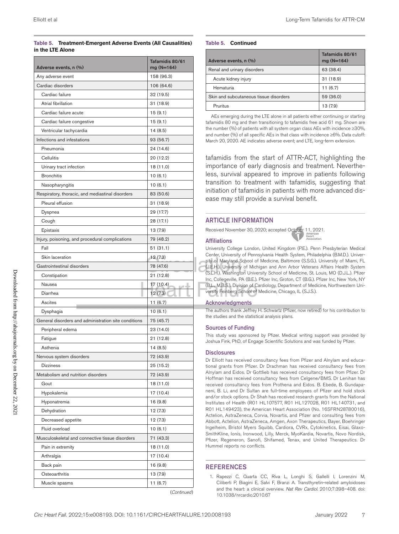#### **Table 5. Treatment-Emergent Adverse Events (All Causalities) in the LTE Alone**

| Adverse events, n (%)                                | Tafamidis 80/61<br>mg (N=164) |
|------------------------------------------------------|-------------------------------|
| Any adverse event                                    | 158 (96.3)                    |
| Cardiac disorders                                    | 106 (64.6)                    |
| Cardiac failure                                      | 32 (19.5)                     |
| Atrial fibrillation                                  | 31 (18.9)                     |
| Cardiac failure acute                                | 15(9.1)                       |
| Cardiac failure congestive                           | 15(9.1)                       |
| Ventricular tachycardia                              | 14(8.5)                       |
| Infections and infestations                          | 93 (56.7)                     |
| Pneumonia                                            | 24 (14.6)                     |
| Cellulitis                                           | 20 (12.2)                     |
| Urinary tract infection                              | 18 (11.0)                     |
| <b>Bronchitis</b>                                    | 10(6.1)                       |
| Nasopharyngitis                                      | 10(6.1)                       |
| Respiratory, thoracic, and mediastinal disorders     | 83 (50.6)                     |
| Pleural effusion                                     | 31 (18.9)                     |
| Dyspnea                                              | 29 (17.7)                     |
| Cough                                                | 28 (17.1)                     |
| Epistaxis                                            | 13 (7.9)                      |
| Injury, poisoning, and procedural complications      | 79 (48.2)                     |
| Fall                                                 | 51 (31.1)                     |
| Skin laceration                                      | 12(7.3)                       |
| Gastrointestinal disorders                           | 78 (47.6)                     |
| Constipation                                         | 21 (12.8)                     |
| Nausea                                               | 17 (10.4)<br>n e di           |
| Diarrhea                                             | 12(7.3)                       |
| Ascites                                              | 11(6.7)                       |
| Dysphagia                                            | 10(6.1)                       |
| General disorders and administration site conditions | 75 (45.7)                     |
| Peripheral edema                                     | 23 (14.0)                     |
| Fatigue                                              | 21 (12.8)                     |
| Asthenia                                             | 14 (8.5)                      |
| Nervous system disorders                             | 72 (43.9)                     |
| <b>Dizziness</b>                                     | 25 (15.2)                     |
| Metabolism and nutrition disorders                   | 72 (43.9)                     |
| Gout                                                 | 18 (11.0)                     |
| Hypokalemia                                          | 17 (10.4)                     |
| Hyponatremia                                         | 16 (9.8)                      |
| Dehydration                                          | 12(7.3)                       |
| Decreased appetite                                   | 12 (7.3)                      |
| Fluid overload                                       | 10(6.1)                       |
| Musculoskeletal and connective tissue disorders      | 71 (43.3)                     |
| Pain in extremity                                    | 18 (11.0)                     |
| Arthralgia                                           | 17 (10.4)                     |
| Back pain                                            | 16 (9.8)                      |
| Osteoarthritis                                       | 13 (7.9)                      |
| Muscle spasms                                        | 11 (6.7)                      |

(*Continued* )

#### **Table 5. Continued**

| Adverse events, n (%)                  | Tafamidis 80/61<br>$mg(N=164)$ |
|----------------------------------------|--------------------------------|
| Renal and urinary disorders            | 63 (38.4)                      |
| Acute kidney injury                    | 31(18.9)                       |
| Hematuria                              | 11(6.7)                        |
| Skin and subcutaneous tissue disorders | 59 (36.0)                      |
| Pruritus                               | 13 (7.9)                       |

AEs emerging during the LTE alone in all patients either continuing or starting tafamidis 80 mg and then transitioning to tafamidis free acid 61 mg. Shown are the number (%) of patients with all system organ class AEs with incidence ≥30%, and number (%) of all specific AEs in that class with incidence ≥6%. Data cutoff: March 20, 2020. AE indicates adverse event; and LTE, long-term extension.

tafamidis from the start of ATTR-ACT, highlighting the importance of early diagnosis and treatment. Nevertheless, survival appeared to improve in patients following transition to treatment with tafamidis, suggesting that initiation of tafamidis in patients with more advanced disease may still provide a survival benefit.

### ARTICLE INFORMATION

Received November 30, 2020; accepted October 11, 2021.

#### Affiliations

University College London, United Kingdom (P.E.). Penn Presbyterian Medical Center, University of Pennsylvania Health System, Philadelphia (B.M.D.). University of Maryland School of Medicine, Baltimore (S.S.G.). University of Miami, FL (J.E.H.). University of Michigan and Ann Arbor Veterans Affairs Health System (S.L.H.). Washington University School of Medicine, St. Louis, MO (D.J.L.). Pfizer Inc, Collegeville, PA (B.E.). Pfizer Inc, Groton, CT (B.G.). Pfizer Inc, New York, NY (B.L., M.B.S.). Division of Cardiology, Department of Medicine, Northwestern University Feinberg School of Medicine, Chicago, IL (S.J.S.).

#### **Acknowledgments**

The authors thank Jeffrey H. Schwartz (Pfizer, now retired) for his contribution to the studies and the statistical analysis plans.

#### Sources of Funding

This study was sponsored by Pfizer. Medical writing support was provided by Joshua Fink, PhD, of Engage Scientific Solutions and was funded by Pfizer.

#### **Disclosures**

Dr Elliott has received consultancy fees from Pfizer and Alnylam and educational grants from Pfizer. Dr Drachman has received consultancy fees from Alnylam and Eidos. Dr Gottlieb has received consultancy fees from Pfizer. Dr Hoffman has received consultancy fees from Celgene/BMS. Dr Lenihan has received consultancy fees from Prothena and Eidos. B. Ebede, B. Gundapaneni, B. Li, and Dr Sultan are full-time employees of Pfizer and hold stock and/or stock options. Dr Shah has received research grants from the National Institutes of Health (R01 HL107577, R01 HL127028, R01 HL140731, and R01 HL149423), the American Heart Association (No. 16SFRN28780016), Actelion, AstraZeneca, Corvia, Novartis, and Pfizer and consulting fees from Abbott, Actelion, AstraZeneca, Amgen, Axon Therapeutics, Bayer, Boehringer Ingelheim, Bristol Myers Squibb, Cardiora, CVRx, Cytokinetics, Eisai, Glaxo-SmithKline, Ionis, Ironwood, Lilly, Merck, MyoKardia, Novartis, Novo Nordisk, Pfizer, Regeneron, Sanofi, Shifamed, Tenax, and United Therapeutics. Dr Hummel reports no conflicts.

#### REFERENCES

<sup>1.</sup> Rapezzi C, Quarta CC, Riva L, Longhi S, Gallelli I, Lorenzini M, Ciliberti P, Biagini E, Salvi F, Branzi A. Transthyretin-related amyloidoses and the heart: a clinical overview. *Nat Rev Cardiol*. 2010;7:398–408. doi: 10.1038/nrcardio.2010.67